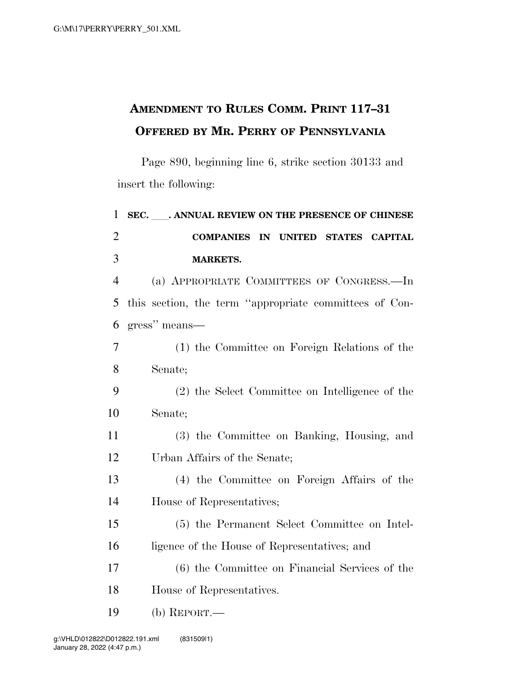## **AMENDMENT TO RULES COMM. PRINT 117–31 OFFERED BY MR. PERRY OF PENNSYLVANIA**

Page 890, beginning line 6, strike section 30133 and insert the following:

| $\mathbf{1}$   | SEC. ANNUAL REVIEW ON THE PRESENCE OF CHINESE          |
|----------------|--------------------------------------------------------|
| $\overline{2}$ | COMPANIES IN UNITED STATES CAPITAL                     |
| 3              | <b>MARKETS.</b>                                        |
| $\overline{4}$ | (a) APPROPRIATE COMMITTEES OF CONGRESS.—In             |
| 5              | this section, the term "appropriate committees of Con- |
| 6              | gress" means—                                          |
| 7              | (1) the Committee on Foreign Relations of the          |
| 8              | Senate;                                                |
| 9              | (2) the Select Committee on Intelligence of the        |
| 10             | Senate;                                                |
| 11             | (3) the Committee on Banking, Housing, and             |
| 12             | Urban Affairs of the Senate;                           |
| 13             | (4) the Committee on Foreign Affairs of the            |
| 14             | House of Representatives;                              |
| 15             | (5) the Permanent Select Committee on Intel-           |
| 16             | ligence of the House of Representatives; and           |
| 17             | $(6)$ the Committee on Financial Services of the       |
| 18             | House of Representatives.                              |
| 19             | $(b)$ REPORT.—                                         |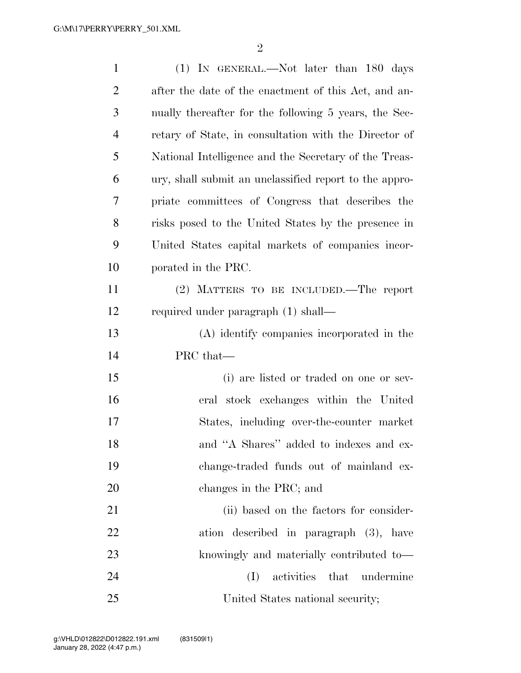| $\mathbf{1}$   | (1) IN GENERAL.—Not later than 180 days                |
|----------------|--------------------------------------------------------|
| $\overline{2}$ | after the date of the enactment of this Act, and an-   |
| 3              | nually thereafter for the following 5 years, the Sec-  |
| $\overline{4}$ | retary of State, in consultation with the Director of  |
| 5              | National Intelligence and the Secretary of the Treas-  |
| 6              | ury, shall submit an unclassified report to the appro- |
| 7              | priate committees of Congress that describes the       |
| 8              | risks posed to the United States by the presence in    |
| 9              | United States capital markets of companies incor-      |
| 10             | porated in the PRC.                                    |
| 11             | (2) MATTERS TO BE INCLUDED.—The report                 |
| 12             | required under paragraph (1) shall—                    |
| 13             | (A) identify companies incorporated in the             |
| 14             | PRC that—                                              |
| 15             | (i) are listed or traded on one or sev-                |
| 16             | eral stock exchanges within the United                 |
| 17             | States, including over-the-counter market              |
| 18             | and "A Shares" added to indexes and ex-                |
| 19             | change-traded funds out of mainland ex-                |
| 20             | changes in the PRC; and                                |
| 21             | (ii) based on the factors for consider-                |
| 22             | ation described in paragraph (3), have                 |
| 23             | knowingly and materially contributed to—               |
| 24             | activities<br>(I)<br>that<br>undermine                 |
| 25             | United States national security;                       |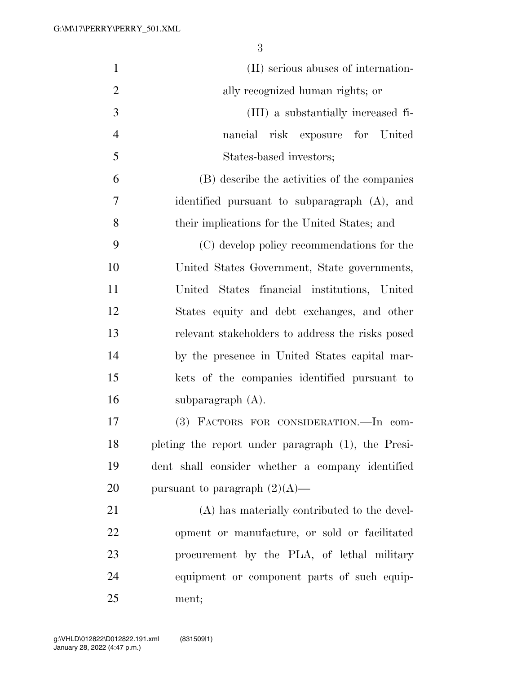| $\mathbf{1}$   | (II) serious abuses of internation-                |
|----------------|----------------------------------------------------|
| $\overline{2}$ | ally recognized human rights; or                   |
| 3              | (III) a substantially increased fi-                |
| $\overline{4}$ | risk exposure for United<br>nancial                |
| 5              | States-based investors;                            |
| 6              | (B) describe the activities of the companies       |
| 7              | identified pursuant to subparagraph $(A)$ , and    |
| 8              | their implications for the United States; and      |
| 9              | (C) develop policy recommendations for the         |
| 10             | United States Government, State governments,       |
| 11             | United States financial institutions, United       |
| 12             | States equity and debt exchanges, and other        |
| 13             | relevant stakeholders to address the risks posed   |
| 14             | by the presence in United States capital mar-      |
| 15             | kets of the companies identified pursuant to       |
| 16             | subparagraph $(A)$ .                               |
| 17             | (3) FACTORS FOR CONSIDERATION.-In com-             |
| 18             | pleting the report under paragraph (1), the Presi- |
| 19             | dent shall consider whether a company identified   |
| 20             | pursuant to paragraph $(2)(A)$ —                   |
| 21             | (A) has materially contributed to the devel-       |
| 22             | opment or manufacture, or sold or facilitated      |
| 23             | procurement by the PLA, of lethal military         |
| 24             | equipment or component parts of such equip-        |
| 25             | ment;                                              |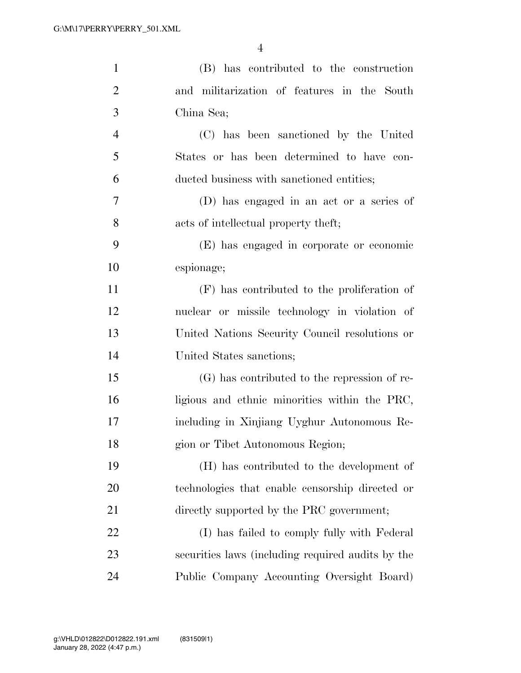| $\mathbf{1}$   | (B) has contributed to the construction           |
|----------------|---------------------------------------------------|
| $\overline{2}$ | and militarization of features in the South       |
| 3              | China Sea;                                        |
| $\overline{4}$ | (C) has been sanctioned by the United             |
| 5              | States or has been determined to have con-        |
| 6              | ducted business with sanctioned entities;         |
| $\tau$         | (D) has engaged in an act or a series of          |
| 8              | acts of intellectual property theft;              |
| 9              | (E) has engaged in corporate or economic          |
| 10             | espionage;                                        |
| 11             | (F) has contributed to the proliferation of       |
| 12             | nuclear or missile technology in violation of     |
| 13             | United Nations Security Council resolutions or    |
| 14             | United States sanctions;                          |
| 15             | (G) has contributed to the repression of re-      |
| 16             | ligious and ethnic minorities within the PRC,     |
| 17             | including in Xinjiang Uyghur Autonomous Re-       |
| 18             | gion or Tibet Autonomous Region;                  |
| 19             | (H) has contributed to the development of         |
| 20             | technologies that enable censorship directed or   |
| 21             | directly supported by the PRC government;         |
| 22             | (I) has failed to comply fully with Federal       |
| 23             | securities laws (including required audits by the |
| 24             | Public Company Accounting Oversight Board)        |